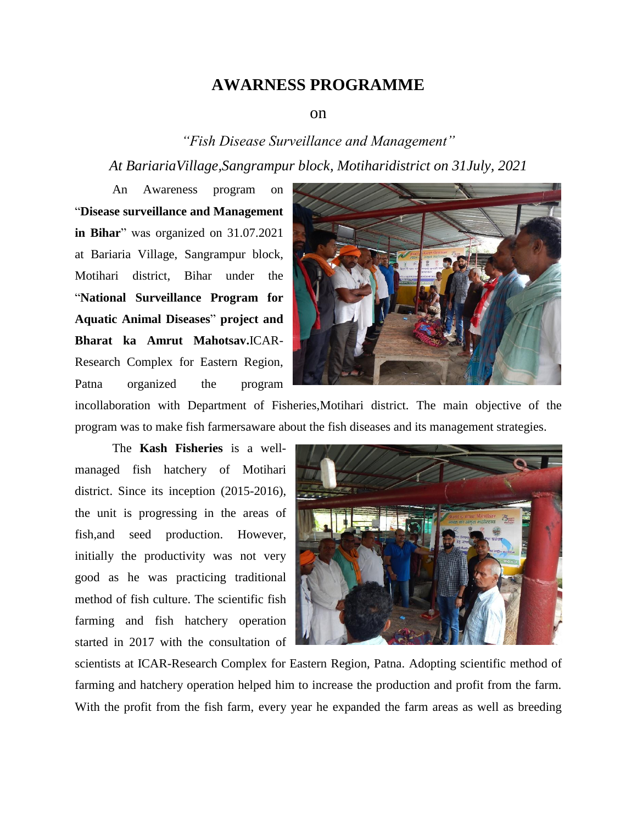## **AWARNESS PROGRAMME**

## on

*"Fish Disease Surveillance and Management" At BariariaVillage,Sangrampur block, Motiharidistrict on 31July, 2021*

An Awareness program on "**Disease surveillance and Management in Bihar**" was organized on 31.07.2021 at Bariaria Village, Sangrampur block, Motihari district, Bihar under the "**National Surveillance Program for Aquatic Animal Diseases**" **project and Bharat ka Amrut Mahotsav.**ICAR-Research Complex for Eastern Region, Patna organized the program



incollaboration with Department of Fisheries,Motihari district. The main objective of the program was to make fish farmersaware about the fish diseases and its management strategies.

The **Kash Fisheries** is a wellmanaged fish hatchery of Motihari district. Since its inception (2015-2016), the unit is progressing in the areas of fish,and seed production. However, initially the productivity was not very good as he was practicing traditional method of fish culture. The scientific fish farming and fish hatchery operation started in 2017 with the consultation of



scientists at ICAR-Research Complex for Eastern Region, Patna. Adopting scientific method of farming and hatchery operation helped him to increase the production and profit from the farm. With the profit from the fish farm, every year he expanded the farm areas as well as breeding